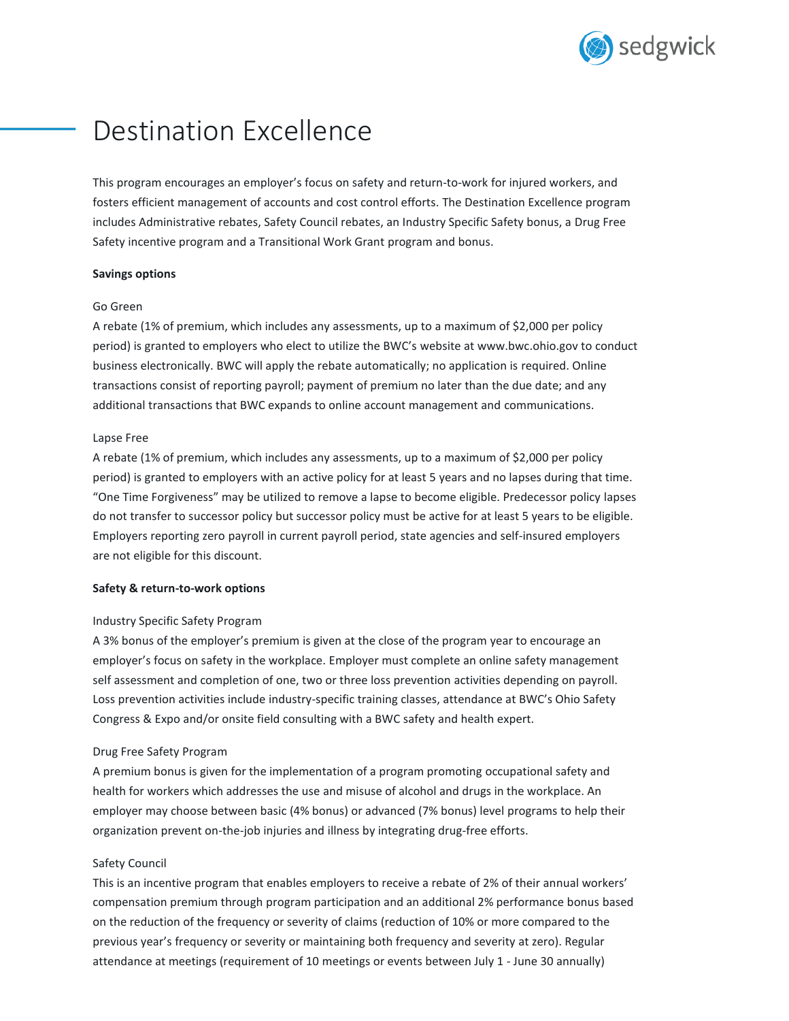

# Destination Excellence

This program encourages an employer's focus on safety and return-to-work for injured workers, and fosters efficient management of accounts and cost control efforts. The Destination Excellence program includes Administrative rebates, Safety Council rebates, an Industry Specific Safety bonus, a Drug Free Safety incentive program and a Transitional Work Grant program and bonus.

## **Savings options**

#### Go Green

A rebate (1% of premium, which includes any assessments, up to a maximum of \$2,000 per policy period) is granted to employers who elect to utilize the BWC's website at www.bwc.ohio.gov to conduct business electronically. BWC will apply the rebate automatically; no application is required. Online transactions consist of reporting payroll; payment of premium no later than the due date; and any additional transactions that BWC expands to online account management and communications.

#### Lapse Free

A rebate (1% of premium, which includes any assessments, up to a maximum of \$2,000 per policy period) is granted to employers with an active policy for at least 5 years and no lapses during that time. "One Time Forgiveness" may be utilized to remove a lapse to become eligible. Predecessor policy lapses do not transfer to successor policy but successor policy must be active for at least 5 years to be eligible. Employers reporting zero payroll in current payroll period, state agencies and self-insured employers are not eligible for this discount.

## **Safety & return-to-work options**

## Industry Specific Safety Program

A 3% bonus of the employer's premium is given at the close of the program year to encourage an employer's focus on safety in the workplace. Employer must complete an online safety management self assessment and completion of one, two or three loss prevention activities depending on payroll. Loss prevention activities include industry-specific training classes, attendance at BWC's Ohio Safety Congress & Expo and/or onsite field consulting with a BWC safety and health expert.

#### Drug Free Safety Program

A premium bonus is given for the implementation of a program promoting occupational safety and health for workers which addresses the use and misuse of alcohol and drugs in the workplace. An employer may choose between basic (4% bonus) or advanced (7% bonus) level programs to help their organization prevent on-the-job injuries and illness by integrating drug-free efforts.

## Safety Council

This is an incentive program that enables employers to receive a rebate of 2% of their annual workers' compensation premium through program participation and an additional 2% performance bonus based on the reduction of the frequency or severity of claims (reduction of 10% or more compared to the previous year's frequency or severity or maintaining both frequency and severity at zero). Regular attendance at meetings (requirement of 10 meetings or events between July 1 - June 30 annually)